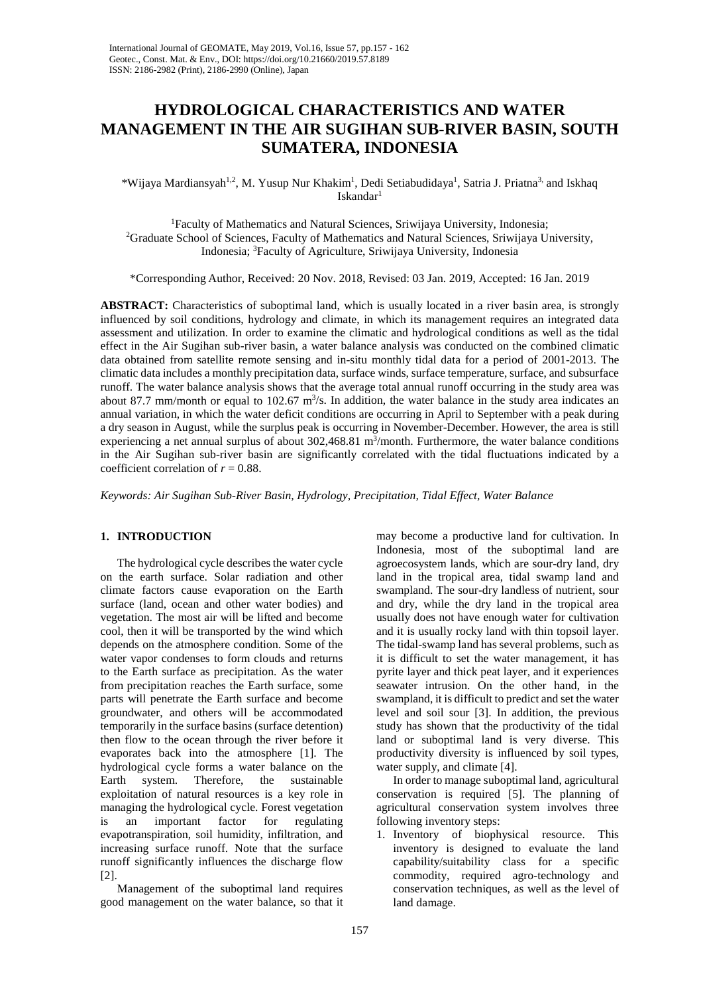# **HYDROLOGICAL CHARACTERISTICS AND WATER MANAGEMENT IN THE AIR SUGIHAN SUB-RIVER BASIN, SOUTH SUMATERA, INDONESIA**

\*Wijaya Mardiansyah<sup>1,2</sup>, M. Yusup Nur Khakim<sup>1</sup>, Dedi Setiabudidaya<sup>1</sup>, Satria J. Priatna<sup>3,</sup> and Iskhaq Iskandar1

<sup>1</sup>Faculty of Mathematics and Natural Sciences, Sriwijaya University, Indonesia; Faculty of Mathematics and Natural Sciences, Sriwijaya University, Indonesia; 2 Graduate School of Sciences, Faculty of Mathematics and Natural Sciences, Sriwijaya University, Indonesia; <sup>3</sup> Faculty of Agriculture, Sriwijaya University, Indonesia

\*Corresponding Author, Received: 20 Nov. 2018, Revised: 03 Jan. 2019, Accepted: 16 Jan. 2019

**ABSTRACT:** Characteristics of suboptimal land, which is usually located in a river basin area, is strongly influenced by soil conditions, hydrology and climate, in which its management requires an integrated data assessment and utilization. In order to examine the climatic and hydrological conditions as well as the tidal effect in the Air Sugihan sub-river basin, a water balance analysis was conducted on the combined climatic data obtained from satellite remote sensing and in-situ monthly tidal data for a period of 2001-2013. The climatic data includes a monthly precipitation data, surface winds, surface temperature, surface, and subsurface runoff. The water balance analysis shows that the average total annual runoff occurring in the study area was about 87.7 mm/month or equal to  $102.67 \text{ m}^3/\text{s}$ . In addition, the water balance in the study area indicates an annual variation, in which the water deficit conditions are occurring in April to September with a peak during a dry season in August, while the surplus peak is occurring in November-December. However, the area is still experiencing a net annual surplus of about  $302,468.81 \text{ m}^3/\text{month}$ . Furthermore, the water balance conditions in the Air Sugihan sub-river basin are significantly correlated with the tidal fluctuations indicated by a coefficient correlation of  $r = 0.88$ .

*Keywords: Air Sugihan Sub-River Basin, Hydrology, Precipitation, Tidal Effect, Water Balance*

# **1. INTRODUCTION**

The hydrological cycle describes the water cycle on the earth surface. Solar radiation and other climate factors cause evaporation on the Earth surface (land, ocean and other water bodies) and vegetation. The most air will be lifted and become cool, then it will be transported by the wind which depends on the atmosphere condition. Some of the water vapor condenses to form clouds and returns to the Earth surface as precipitation. As the water from precipitation reaches the Earth surface, some parts will penetrate the Earth surface and become groundwater, and others will be accommodated temporarily in the surface basins (surface detention) then flow to the ocean through the river before it evaporates back into the atmosphere [1]. The hydrological cycle forms a water balance on the Earth system. Therefore, the sustainable exploitation of natural resources is a key role in managing the hydrological cycle. Forest vegetation is an important factor for regulating evapotranspiration, soil humidity, infiltration, and increasing surface runoff. Note that the surface runoff significantly influences the discharge flow [2].

Management of the suboptimal land requires good management on the water balance, so that it

may become a productive land for cultivation. In Indonesia, most of the suboptimal land are agroecosystem lands, which are sour-dry land, dry land in the tropical area, tidal swamp land and swampland. The sour-dry landless of nutrient, sour and dry, while the dry land in the tropical area usually does not have enough water for cultivation and it is usually rocky land with thin topsoil layer. The tidal-swamp land has several problems, such as it is difficult to set the water management, it has pyrite layer and thick peat layer, and it experiences seawater intrusion. On the other hand, in the swampland, it is difficult to predict and set the water level and soil sour [3]. In addition, the previous study has shown that the productivity of the tidal land or suboptimal land is very diverse. This productivity diversity is influenced by soil types, water supply, and climate [4].

In order to manage suboptimal land, agricultural conservation is required [5]. The planning of agricultural conservation system involves three following inventory steps:

1. Inventory of biophysical resource. This inventory is designed to evaluate the land capability/suitability class for a specific commodity, required agro-technology and conservation techniques, as well as the level of land damage.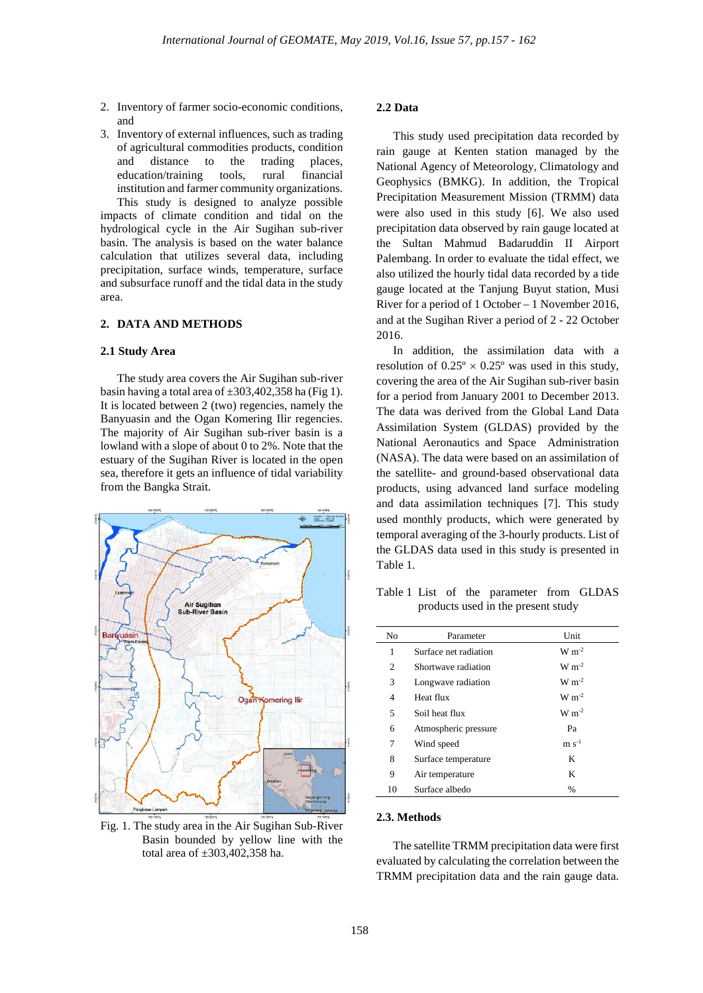- 2. Inventory of farmer socio-economic conditions, and
- 3. Inventory of external influences, such as trading of agricultural commodities products, condition and distance to the trading places, education/training tools, rural financial institution and farmer community organizations. This study is designed to analyze possible impacts of climate condition and tidal on the hydrological cycle in the Air Sugihan sub-river

basin. The analysis is based on the water balance calculation that utilizes several data, including precipitation, surface winds, temperature, surface and subsurface runoff and the tidal data in the study area.

# **2. DATA AND METHODS**

### **2.1 Study Area**

The study area covers the Air Sugihan sub-river basin having a total area of  $\pm 303,402,358$  ha (Fig 1). It is located between 2 (two) regencies, namely the Banyuasin and the Ogan Komering Ilir regencies. The majority of Air Sugihan sub-river basin is a lowland with a slope of about 0 to 2%. Note that the estuary of the Sugihan River is located in the open sea, therefore it gets an influence of tidal variability from the Bangka Strait.



Fig. 1. The study area in the Air Sugihan Sub-River Basin bounded by yellow line with the total area of ±303,402,358 ha.

# **2.2 Data**

This study used precipitation data recorded by rain gauge at Kenten station managed by the National Agency of Meteorology, Climatology and Geophysics (BMKG). In addition, the Tropical Precipitation Measurement Mission (TRMM) data were also used in this study [6]. We also used precipitation data observed by rain gauge located at the Sultan Mahmud Badaruddin II Airport Palembang. In order to evaluate the tidal effect, we also utilized the hourly tidal data recorded by a tide gauge located at the Tanjung Buyut station, Musi River for a period of 1 October – 1 November 2016, and at the Sugihan River a period of 2 - 22 October 2016.

In addition, the assimilation data with a resolution of  $0.25^{\circ} \times 0.25^{\circ}$  was used in this study, covering the area of the Air Sugihan sub-river basin for a period from January 2001 to December 2013. The data was derived from the Global Land Data Assimilation System (GLDAS) provided by the National Aeronautics and Space Administration (NASA). The data were based on an assimilation of the satellite- and ground-based observational data products, using advanced land surface modeling and data assimilation techniques [7]. This study used monthly products, which were generated by temporal averaging of the 3-hourly products. List of the GLDAS data used in this study is presented in Table 1.

Table 1 List of the parameter from GLDAS products used in the present study

| No             | Parameter             | Unit           |  |  |  |  |
|----------------|-----------------------|----------------|--|--|--|--|
| 1              | Surface net radiation | $W m^{-2}$     |  |  |  |  |
| 2              | Shortwave radiation   | $W m^{-2}$     |  |  |  |  |
| 3              | Longwave radiation    | $W m^{-2}$     |  |  |  |  |
| $\overline{4}$ | Heat flux             | $W m^{-2}$     |  |  |  |  |
| 5              | Soil heat flux        | $W m^{-2}$     |  |  |  |  |
| 6              | Atmospheric pressure  | Pa             |  |  |  |  |
| 7              | Wind speed            | $\rm m~s^{-1}$ |  |  |  |  |
| 8              | Surface temperature   | K              |  |  |  |  |
| 9              | Air temperature       | K              |  |  |  |  |
| 10             | Surface albedo        | $\%$           |  |  |  |  |

### **2.3. Methods**

The satellite TRMM precipitation data were first evaluated by calculating the correlation between the TRMM precipitation data and the rain gauge data.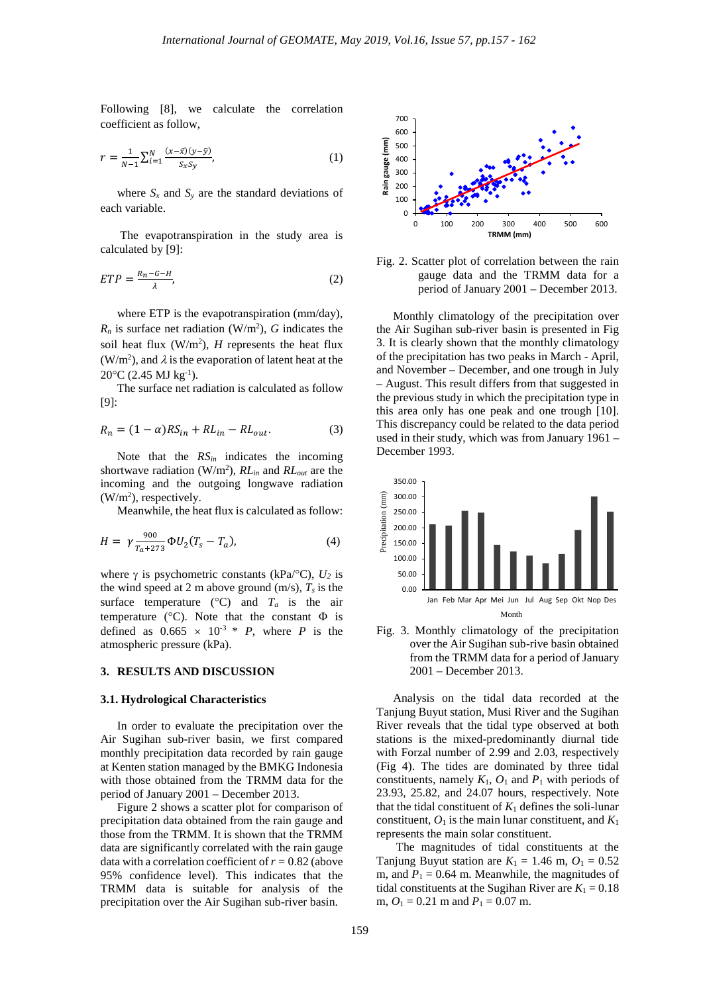Following [8], we calculate the correlation coefficient as follow,

$$
r = \frac{1}{N-1} \sum_{i=1}^{N} \frac{(x-\bar{x})(y-\bar{y})}{S_x S_y},
$$
\n(1)

where  $S_x$  and  $S_y$  are the standard deviations of each variable.

The evapotranspiration in the study area is calculated by [9]:

$$
ETP = \frac{R_n - G - H}{\lambda},\tag{2}
$$

where ETP is the evapotranspiration (mm/day),  $R_n$  is surface net radiation (W/m<sup>2</sup>), *G* indicates the soil heat flux  $(W/m^2)$ , *H* represents the heat flux (W/m<sup>2</sup>), and  $\lambda$  is the evaporation of latent heat at the 20°C (2.45 MJ kg-1 ).

The surface net radiation is calculated as follow [9]:

$$
R_n = (1 - \alpha)RS_{in} + RL_{in} - RL_{out}.
$$
 (3)

Note that the  $RS_{in}$  indicates the incoming shortwave radiation (W/m2 ), *RLin* and *RLout* are the incoming and the outgoing longwave radiation  $(W/m<sup>2</sup>)$ , respectively.

Meanwhile, the heat flux is calculated as follow:

$$
H = \gamma \frac{900}{T_a + 273} \Phi U_2 (T_s - T_a), \tag{4}
$$

where  $\gamma$  is psychometric constants (kPa/ $\rm ^oC$ ),  $U_2$  is the wind speed at 2 m above ground  $(m/s)$ ,  $T_s$  is the surface temperature ( $\degree$ C) and  $T_a$  is the air temperature ( $^{\circ}$ C). Note that the constant  $\Phi$  is defined as  $0.665 \times 10^{-3} * P$ , where *P* is the atmospheric pressure (kPa).

#### **3. RESULTS AND DISCUSSION**

#### **3.1. Hydrological Characteristics**

In order to evaluate the precipitation over the Air Sugihan sub-river basin, we first compared monthly precipitation data recorded by rain gauge at Kenten station managed by the BMKG Indonesia with those obtained from the TRMM data for the period of January 2001 – December 2013.

Figure 2 shows a scatter plot for comparison of precipitation data obtained from the rain gauge and those from the TRMM. It is shown that the TRMM data are significantly correlated with the rain gauge data with a correlation coefficient of  $r = 0.82$  (above 95% confidence level). This indicates that the TRMM data is suitable for analysis of the precipitation over the Air Sugihan sub-river basin.



Fig. 2. Scatter plot of correlation between the rain gauge data and the TRMM data for a period of January 2001 – December 2013.

Monthly climatology of the precipitation over the Air Sugihan sub-river basin is presented in Fig 3. It is clearly shown that the monthly climatology of the precipitation has two peaks in March - April, and November – December, and one trough in July – August. This result differs from that suggested in the previous study in which the precipitation type in this area only has one peak and one trough [10]. This discrepancy could be related to the data period used in their study, which was from January 1961 – December 1993.





Analysis on the tidal data recorded at the Tanjung Buyut station, Musi River and the Sugihan River reveals that the tidal type observed at both stations is the mixed-predominantly diurnal tide with Forzal number of 2.99 and 2.03, respectively (Fig 4). The tides are dominated by three tidal constituents, namely  $K_1$ ,  $O_1$  and  $P_1$  with periods of 23.93, 25.82, and 24.07 hours, respectively. Note that the tidal constituent of  $K_1$  defines the soli-lunar constituent,  $O_1$  is the main lunar constituent, and  $K_1$ represents the main solar constituent.

The magnitudes of tidal constituents at the Tanjung Buyut station are  $K_1 = 1.46$  m,  $O_1 = 0.52$ m, and  $P_1 = 0.64$  m. Meanwhile, the magnitudes of tidal constituents at the Sugihan River are  $K_1 = 0.18$ m,  $O_1 = 0.21$  m and  $P_1 = 0.07$  m.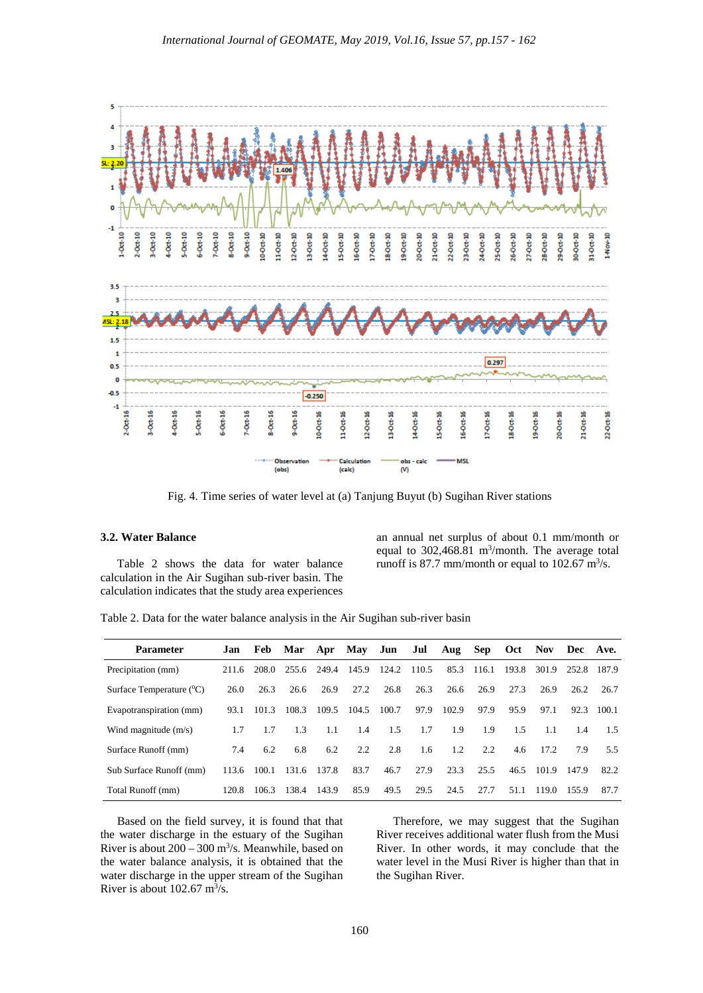

Fig. 4. Time series of water level at (a) Tanjung Buyut (b) Sugihan River stations

# **3.2. Water Balance**

Table 2 shows the data for water balance calculation in the Air Sugihan sub-river basin. The calculation indicates that the study area experiences an annual net surplus of about 0.1 mm/month or equal to  $302,468.81$  m<sup>3</sup>/month. The average total runoff is 87.7 mm/month or equal to 102.67  $\text{m}^3\text{/s}$ .

|  |  |  |  | Table 2. Data for the water balance analysis in the Air Sugihan sub-river basin |  |
|--|--|--|--|---------------------------------------------------------------------------------|--|
|  |  |  |  |                                                                                 |  |

| <b>Parameter</b>                      | Jan   | <b>Feb</b> | Mar Apr May |       |       | Jun   | Jul   | Aug   | <b>Sep</b> | Oct   | Nov.  | Dec Ave. |       |
|---------------------------------------|-------|------------|-------------|-------|-------|-------|-------|-------|------------|-------|-------|----------|-------|
| Precipitation (mm)                    | 211.6 | 208.0      | 255.6       | 249.4 | 145.9 | 124.2 | 110.5 | 85.3  | 116.1      | 193.8 | 301.9 | 252.8    | 187.9 |
| Surface Temperature ( <sup>0</sup> C) | 26.0  | 26.3       | 26.6        | 26.9  | 27.2  | 26.8  | 26.3  | 26.6  | 26.9       | 27.3  | 26.9  | 26.2     | 26.7  |
| Evapotranspiration (mm)               | 93.1  | 101.3      | 108.3       | 109.5 | 104.5 | 100.7 | 97.9  | 102.9 | 97.9       | 95.9  | 97.1  | 92.3     | 100.1 |
| Wind magnitude $(m/s)$                | 1.7   | 1.7        | 1.3         | 1.1   | 1.4   | 1.5   | 1.7   | 1.9   | 1.9        | 1.5   | 1.1   | 1.4      | 1.5   |
| Surface Runoff (mm)                   | 7.4   | 6.2        | 6.8         | 6.2   | 2.2   | 2.8   | 1.6   | 1.2   | 2.2        | 4.6   | 17.2  | 7.9      | 5.5   |
| Sub Surface Runoff (mm)               | 113.6 | 100.1      | 131.6       | 137.8 | 83.7  | 46.7  | 27.9  | 23.3  | 25.5       | 46.5  | 101.9 | 147.9    | 82.2  |
| Total Runoff (mm)                     | 120.8 | 106.3      | 138.4       | 143.9 | 85.9  | 49.5  | 29.5  | 24.5  | 27.7       | 51.1  | 119.0 | 155.9    | 87.7  |

Based on the field survey, it is found that that the water discharge in the estuary of the Sugihan River is about  $200 - 300$  m<sup>3</sup>/s. Meanwhile, based on the water balance analysis, it is obtained that the water discharge in the upper stream of the Sugihan River is about  $102.67 \text{ m}^3\text{/s}.$ 

Therefore, we may suggest that the Sugihan River receives additional water flush from the Musi River. In other words, it may conclude that the water level in the Musi River is higher than that in the Sugihan River.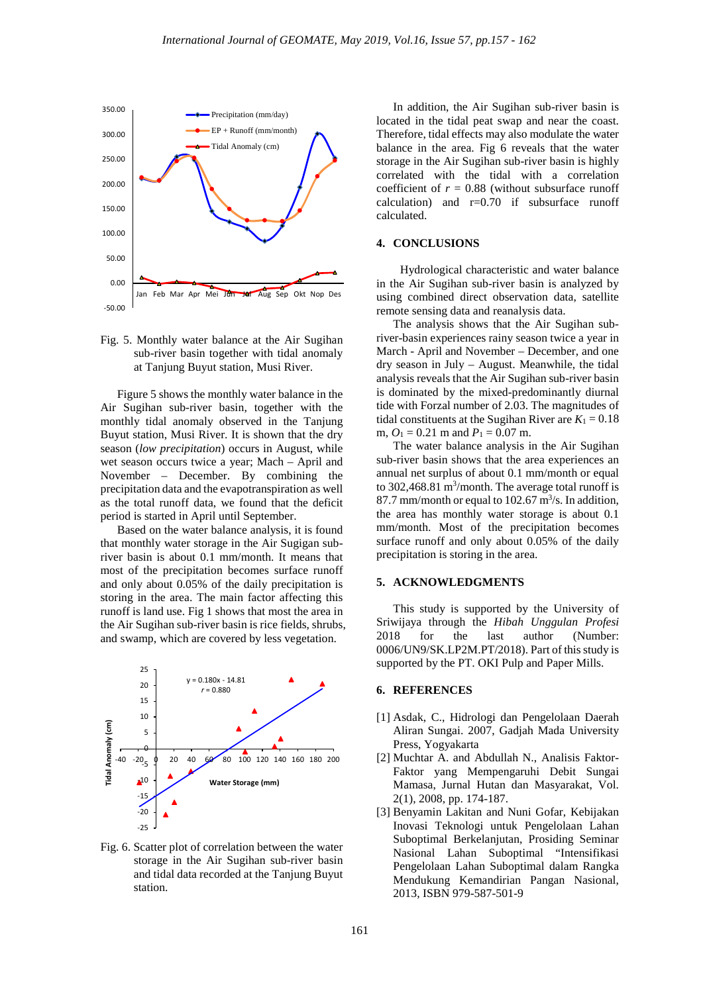



Figure 5 shows the monthly water balance in the Air Sugihan sub-river basin, together with the monthly tidal anomaly observed in the Tanjung Buyut station, Musi River. It is shown that the dry season (*low precipitation*) occurs in August, while wet season occurs twice a year; Mach – April and November – December. By combining the precipitation data and the evapotranspiration as well as the total runoff data, we found that the deficit period is started in April until September.

Based on the water balance analysis, it is found that monthly water storage in the Air Sugigan subriver basin is about 0.1 mm/month. It means that most of the precipitation becomes surface runoff and only about 0.05% of the daily precipitation is storing in the area. The main factor affecting this runoff is land use. Fig 1 shows that most the area in the Air Sugihan sub-river basin is rice fields, shrubs, and swamp, which are covered by less vegetation.



Fig. 6. Scatter plot of correlation between the water storage in the Air Sugihan sub-river basin and tidal data recorded at the Tanjung Buyut station.

In addition, the Air Sugihan sub-river basin is located in the tidal peat swap and near the coast. Therefore, tidal effects may also modulate the water balance in the area. Fig 6 reveals that the water storage in the Air Sugihan sub-river basin is highly correlated with the tidal with a correlation coefficient of  $r = 0.88$  (without subsurface runoff calculation) and  $r=0.70$  if subsurface runoff calculated.

# **4. CONCLUSIONS**

Hydrological characteristic and water balance in the Air Sugihan sub-river basin is analyzed by using combined direct observation data, satellite remote sensing data and reanalysis data.

The analysis shows that the Air Sugihan subriver-basin experiences rainy season twice a year in March - April and November – December, and one dry season in July – August. Meanwhile, the tidal analysis reveals that the Air Sugihan sub-river basin is dominated by the mixed-predominantly diurnal tide with Forzal number of 2.03. The magnitudes of tidal constituents at the Sugihan River are  $K_1 = 0.18$ m,  $O_1 = 0.21$  m and  $P_1 = 0.07$  m.

The water balance analysis in the Air Sugihan sub-river basin shows that the area experiences an annual net surplus of about 0.1 mm/month or equal to 302,468.81  $\text{m}^3/\text{month}$ . The average total runoff is 87.7 mm/month or equal to  $102.67 \text{ m}^3/\text{s}$ . In addition, the area has monthly water storage is about 0.1 mm/month. Most of the precipitation becomes surface runoff and only about 0.05% of the daily precipitation is storing in the area.

#### **5. ACKNOWLEDGMENTS**

This study is supported by the University of Sriwijaya through the *Hibah Unggulan Profesi*  2018 for the last author (Number: 0006/UN9/SK.LP2M.PT/2018). Part of this study is supported by the PT. OKI Pulp and Paper Mills.

#### **6. REFERENCES**

- [1] Asdak, C., Hidrologi dan Pengelolaan Daerah Aliran Sungai. 2007, Gadjah Mada University Press, Yogyakarta
- [2] Muchtar A. and Abdullah N., Analisis Faktor-Faktor yang Mempengaruhi Debit Sungai Mamasa, Jurnal Hutan dan Masyarakat, Vol. 2(1), 2008, pp. 174-187.
- [3] Benyamin Lakitan and Nuni Gofar, Kebijakan Inovasi Teknologi untuk Pengelolaan Lahan Suboptimal Berkelanjutan, Prosiding Seminar Nasional Lahan Suboptimal "Intensifikasi Pengelolaan Lahan Suboptimal dalam Rangka Mendukung Kemandirian Pangan Nasional, 2013, ISBN 979-587-501-9